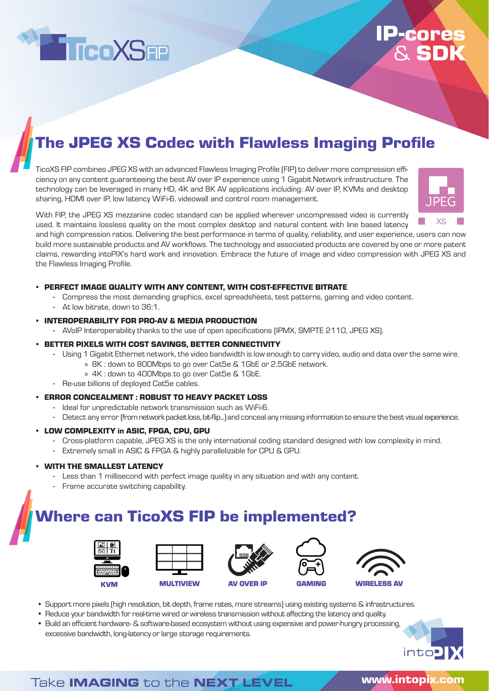

## **IP-core** & SDK

## The JPEG XS Codec with Flawless Imaging Profile

TicoXS FIP combines JPEG XS with an advanced Flawless Imaging Profile (FIP) to deliver more compression efficiency on any content guaranteeing the best AV over IP experience using 1 Gigabit Network infrastructure. The technology can be leveraged in many HD, 4K and 8K AV applications including: AV over IP, KVMs and desktop sharing, HDMI over IP, low latency WiFi-6, videowall and control room management.



With FIP, the JPEG XS mezzanine codec standard can be applied wherever uncompressed video is currently used. It maintains lossless quality on the most complex desktop and natural content with line based latency

and high compression ratios. Delivering the best performance in terms of quality, reliability, and user experience, users can now build more sustainable products and AV workflows. The technology and associated products are covered by one or more patent claims, rewarding intoPIX's hard work and innovation. Embrace the future of image and video compression with JPEG XS and the Flawless Imaging Profile.

### • PERFECT IMAGE QUALITY WITH ANY CONTENT, WITH COST-EFFECTIVE BITRATE

- Compress the most demanding graphics, excel spreadsheets, test patterns, gaming and video content.
- At low bitrate, down to 36:1.

### • INTEROPERABILITY FOR PRO-AV & MEDIA PRODUCTION

- AVoIP Interoperability thanks to the use of open specifications (IPMX, SMPTE 2110, JPEG XS).

### • BETTER PIXELS WITH COST SAVINGS, BETTER CONNECTIVITY

- Using 1 Gigabit Ethernet network, the video bandwidth is low enough to carry video, audio and data over the same wire.
	- » 8K : down to 800Mbps to go over Cat5e & 1GbE or 2.5GbE network.
	- » 4K : down to 400Mbps to go over Cat5e & 1GbE.
- Re-use billions of deployed Cat5e cables.

#### • ERROR CONCEALMENT : ROBUST TO HEAVY PACKET LOSS

- Ideal for unpredictable network transmission such as WiFi-6.
- Detect any error (from network packet loss, bit-flip...) and conceal any missing information to ensure the best visual experience.

#### • LOW COMPLEXITY in ASIC, FPGA, CPU, GPU

- Cross-platform capable, JPEG XS is the only international coding standard designed with low complexity in mind.
- Extremely small in ASIC & FPGA & highly parallelizable for CPU & GPU.

### • WITH THE SMALLEST LATENCY

- Less than 1 millisecond with perfect image quality in any situation and with any content.
- Frame accurate switching capability.

### Where can TicoXS FIP be implemented?











- Support more pixels (high resolution, bit depth, frame rates, more streams) using existing systems & infrastructures.
- Reduce your bandwidth for real-time wired or wireless transmission without affecting the latency and quality.
- Build an efficient hardware- & software-based ecosystem without using expensive and power-hungry processing, excessive bandwidth, long-latency or large storage requirements.



### Take **IMAGING** to the **NEXT LEVEL**